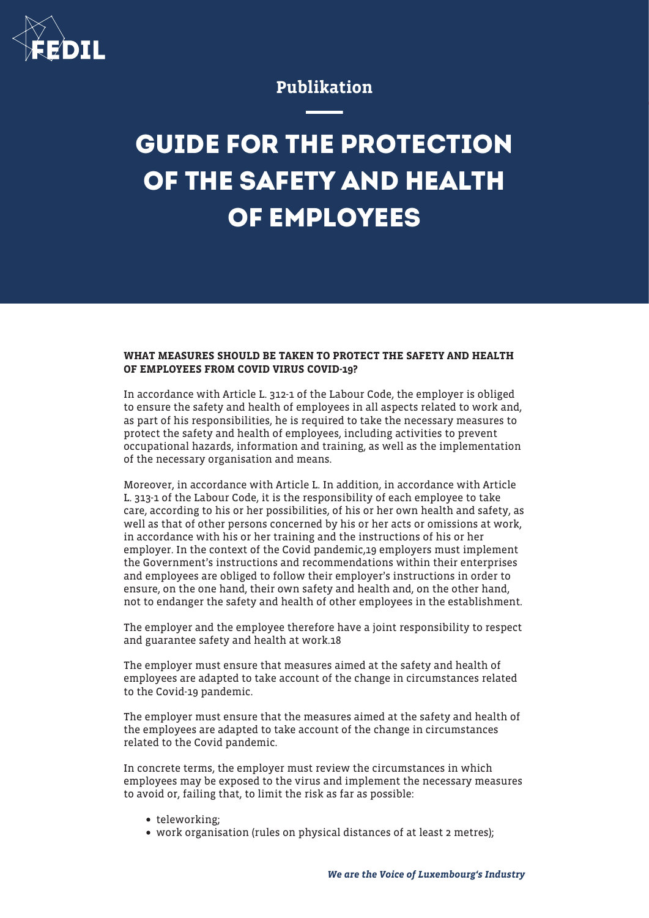

## Publikation

## **GUIDE FOR THE PROTECTION OF THE SAFETY AND HEALTH OF EMPLOYEES**

## WHAT MEASURES SHOULD BE TAKEN TO PROTECT THE SAFETY AND HEALTH OF EMPLOYEES FROM COVID VIRUS COVID-19?

In accordance with Article L. 312-1 of the Labour Code, the employer is obliged to ensure the safety and health of employees in all aspects related to work and, as part of his responsibilities, he is required to take the necessary measures to protect the safety and health of employees, including activities to prevent occupational hazards, information and training, as well as the implementation of the necessary organisation and means.

Moreover, in accordance with Article L. In addition, in accordance with Article L. 313-1 of the Labour Code, it is the responsibility of each employee to take care, according to his or her possibilities, of his or her own health and safety, as well as that of other persons concerned by his or her acts or omissions at work, in accordance with his or her training and the instructions of his or her employer. In the context of the Covid pandemic,19 employers must implement the Government's instructions and recommendations within their enterprises and employees are obliged to follow their employer's instructions in order to ensure, on the one hand, their own safety and health and, on the other hand, not to endanger the safety and health of other employees in the establishment.

The employer and the employee therefore have a joint responsibility to respect and guarantee safety and health at work.18

The employer must ensure that measures aimed at the safety and health of employees are adapted to take account of the change in circumstances related to the Covid-19 pandemic.

The employer must ensure that the measures aimed at the safety and health of the employees are adapted to take account of the change in circumstances related to the Covid pandemic.

In concrete terms, the employer must review the circumstances in which employees may be exposed to the virus and implement the necessary measures to avoid or, failing that, to limit the risk as far as possible:

- teleworking:
- work organisation (rules on physical distances of at least 2 metres);